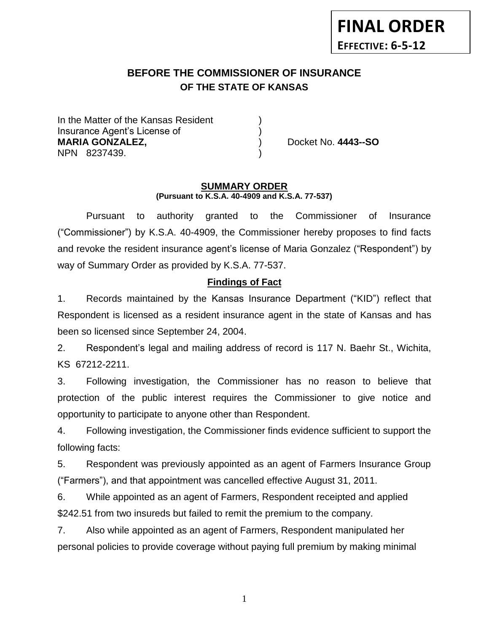# **FINAL ORDER EFFECTIVE: 6-5-12**

# **BEFORE THE COMMISSIONER OF INSURANCE OF THE STATE OF KANSAS**

In the Matter of the Kansas Resident Insurance Agent's License of ) **MARIA GONZALEZ,** ) Docket No. **4443--SO** NPN 8237439. )

#### **SUMMARY ORDER (Pursuant to K.S.A. 40-4909 and K.S.A. 77-537)**

Pursuant to authority granted to the Commissioner of Insurance ("Commissioner") by K.S.A. 40-4909, the Commissioner hereby proposes to find facts and revoke the resident insurance agent's license of Maria Gonzalez ("Respondent") by way of Summary Order as provided by K.S.A. 77-537.

## **Findings of Fact**

1. Records maintained by the Kansas Insurance Department ("KID") reflect that Respondent is licensed as a resident insurance agent in the state of Kansas and has been so licensed since September 24, 2004.

2. Respondent's legal and mailing address of record is 117 N. Baehr St., Wichita, KS 67212-2211.

3. Following investigation, the Commissioner has no reason to believe that protection of the public interest requires the Commissioner to give notice and opportunity to participate to anyone other than Respondent.

4. Following investigation, the Commissioner finds evidence sufficient to support the following facts:

5. Respondent was previously appointed as an agent of Farmers Insurance Group ("Farmers"), and that appointment was cancelled effective August 31, 2011.

6. While appointed as an agent of Farmers, Respondent receipted and applied \$242.51 from two insureds but failed to remit the premium to the company.

7. Also while appointed as an agent of Farmers, Respondent manipulated her personal policies to provide coverage without paying full premium by making minimal

1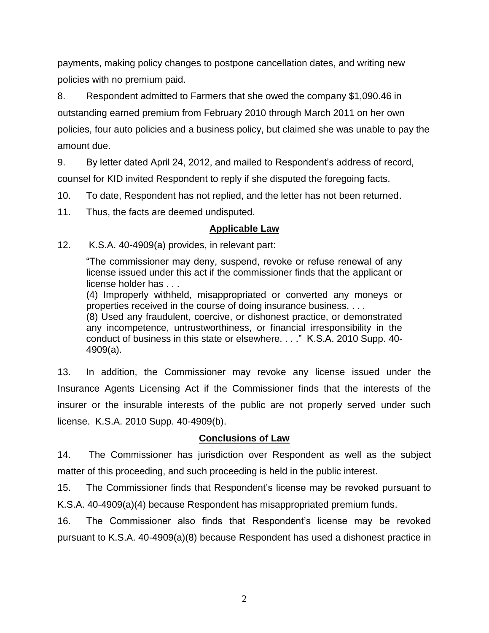payments, making policy changes to postpone cancellation dates, and writing new policies with no premium paid.

8. Respondent admitted to Farmers that she owed the company \$1,090.46 in outstanding earned premium from February 2010 through March 2011 on her own policies, four auto policies and a business policy, but claimed she was unable to pay the amount due.

9. By letter dated April 24, 2012, and mailed to Respondent's address of record, counsel for KID invited Respondent to reply if she disputed the foregoing facts.

10. To date, Respondent has not replied, and the letter has not been returned.

11. Thus, the facts are deemed undisputed.

## **Applicable Law**

12. K.S.A. 40-4909(a) provides, in relevant part:

"The commissioner may deny, suspend, revoke or refuse renewal of any license issued under this act if the commissioner finds that the applicant or license holder has . . .

(4) Improperly withheld, misappropriated or converted any moneys or properties received in the course of doing insurance business. . . .

(8) Used any fraudulent, coercive, or dishonest practice, or demonstrated any incompetence, untrustworthiness, or financial irresponsibility in the conduct of business in this state or elsewhere. . . ." K.S.A. 2010 Supp. 40- 4909(a).

13. In addition, the Commissioner may revoke any license issued under the Insurance Agents Licensing Act if the Commissioner finds that the interests of the insurer or the insurable interests of the public are not properly served under such license. K.S.A. 2010 Supp. 40-4909(b).

# **Conclusions of Law**

14. The Commissioner has jurisdiction over Respondent as well as the subject matter of this proceeding, and such proceeding is held in the public interest.

15. The Commissioner finds that Respondent's license may be revoked pursuant to K.S.A. 40-4909(a)(4) because Respondent has misappropriated premium funds.

16. The Commissioner also finds that Respondent's license may be revoked pursuant to K.S.A. 40-4909(a)(8) because Respondent has used a dishonest practice in

2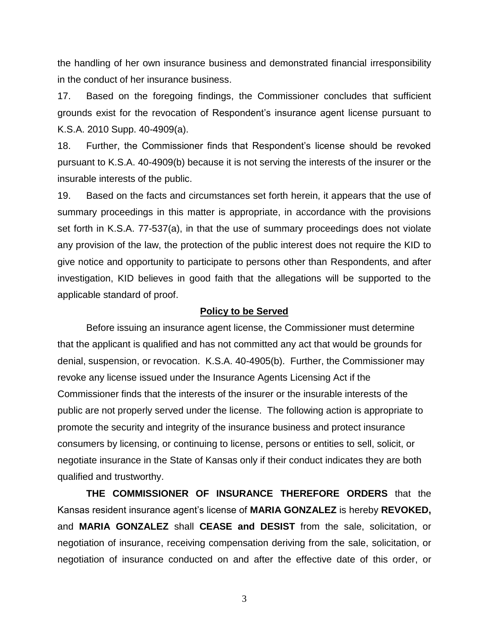the handling of her own insurance business and demonstrated financial irresponsibility in the conduct of her insurance business.

17. Based on the foregoing findings, the Commissioner concludes that sufficient grounds exist for the revocation of Respondent's insurance agent license pursuant to K.S.A. 2010 Supp. 40-4909(a).

18. Further, the Commissioner finds that Respondent's license should be revoked pursuant to K.S.A. 40-4909(b) because it is not serving the interests of the insurer or the insurable interests of the public.

19. Based on the facts and circumstances set forth herein, it appears that the use of summary proceedings in this matter is appropriate, in accordance with the provisions set forth in K.S.A. 77-537(a), in that the use of summary proceedings does not violate any provision of the law, the protection of the public interest does not require the KID to give notice and opportunity to participate to persons other than Respondents, and after investigation, KID believes in good faith that the allegations will be supported to the applicable standard of proof.

#### **Policy to be Served**

Before issuing an insurance agent license, the Commissioner must determine that the applicant is qualified and has not committed any act that would be grounds for denial, suspension, or revocation. K.S.A. 40-4905(b). Further, the Commissioner may revoke any license issued under the Insurance Agents Licensing Act if the Commissioner finds that the interests of the insurer or the insurable interests of the public are not properly served under the license. The following action is appropriate to promote the security and integrity of the insurance business and protect insurance consumers by licensing, or continuing to license, persons or entities to sell, solicit, or negotiate insurance in the State of Kansas only if their conduct indicates they are both qualified and trustworthy.

**THE COMMISSIONER OF INSURANCE THEREFORE ORDERS** that the Kansas resident insurance agent's license of **MARIA GONZALEZ** is hereby **REVOKED,**  and **MARIA GONZALEZ** shall **CEASE and DESIST** from the sale, solicitation, or negotiation of insurance, receiving compensation deriving from the sale, solicitation, or negotiation of insurance conducted on and after the effective date of this order, or

3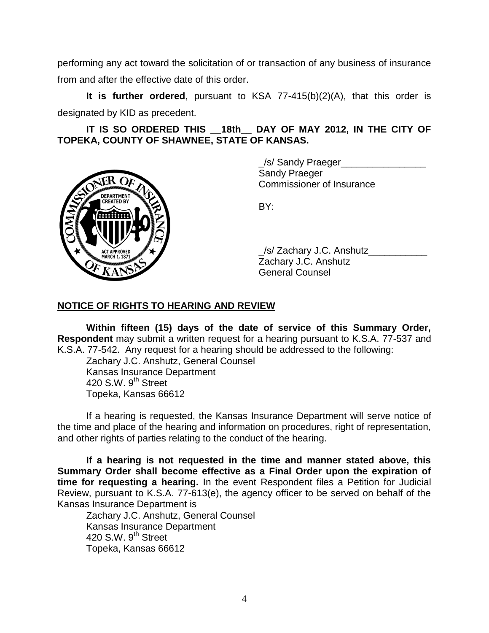performing any act toward the solicitation of or transaction of any business of insurance from and after the effective date of this order.

**It is further ordered**, pursuant to KSA 77-415(b)(2)(A), that this order is designated by KID as precedent.

**IT IS SO ORDERED THIS \_\_18th\_\_ DAY OF MAY 2012, IN THE CITY OF TOPEKA, COUNTY OF SHAWNEE, STATE OF KANSAS.**



\_/s/ Sandy Praeger\_\_\_\_\_\_\_\_\_\_\_\_\_\_\_\_ Sandy Praeger Commissioner of Insurance

BY:

\_/s/ Zachary J.C. Anshutz\_\_\_\_\_\_\_\_\_\_\_ Zachary J.C. Anshutz General Counsel

### **NOTICE OF RIGHTS TO HEARING AND REVIEW**

**Within fifteen (15) days of the date of service of this Summary Order, Respondent** may submit a written request for a hearing pursuant to K.S.A. 77-537 and K.S.A. 77-542. Any request for a hearing should be addressed to the following:

Zachary J.C. Anshutz, General Counsel Kansas Insurance Department 420 S.W.  $9<sup>th</sup>$  Street Topeka, Kansas 66612

If a hearing is requested, the Kansas Insurance Department will serve notice of the time and place of the hearing and information on procedures, right of representation, and other rights of parties relating to the conduct of the hearing.

**If a hearing is not requested in the time and manner stated above, this Summary Order shall become effective as a Final Order upon the expiration of time for requesting a hearing.** In the event Respondent files a Petition for Judicial Review, pursuant to K.S.A. 77-613(e), the agency officer to be served on behalf of the Kansas Insurance Department is

Zachary J.C. Anshutz, General Counsel Kansas Insurance Department 420 S.W.  $9<sup>th</sup>$  Street Topeka, Kansas 66612